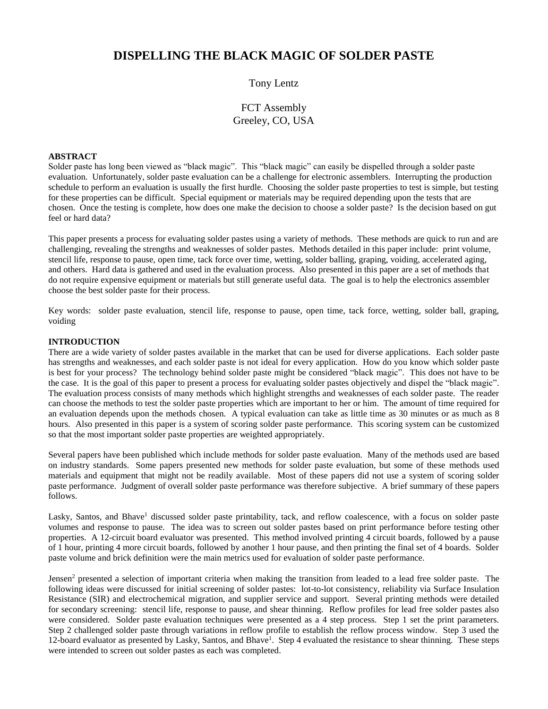# **DISPELLING THE BLACK MAGIC OF SOLDER PASTE**

## Tony Lentz

## FCT Assembly Greeley, CO, USA

## **ABSTRACT**

Solder paste has long been viewed as "black magic". This "black magic" can easily be dispelled through a solder paste evaluation. Unfortunately, solder paste evaluation can be a challenge for electronic assemblers. Interrupting the production schedule to perform an evaluation is usually the first hurdle. Choosing the solder paste properties to test is simple, but testing for these properties can be difficult. Special equipment or materials may be required depending upon the tests that are chosen. Once the testing is complete, how does one make the decision to choose a solder paste? Is the decision based on gut feel or hard data?

This paper presents a process for evaluating solder pastes using a variety of methods. These methods are quick to run and are challenging, revealing the strengths and weaknesses of solder pastes. Methods detailed in this paper include: print volume, stencil life, response to pause, open time, tack force over time, wetting, solder balling, graping, voiding, accelerated aging, and others. Hard data is gathered and used in the evaluation process. Also presented in this paper are a set of methods that do not require expensive equipment or materials but still generate useful data. The goal is to help the electronics assembler choose the best solder paste for their process.

Key words: solder paste evaluation, stencil life, response to pause, open time, tack force, wetting, solder ball, graping, voiding

#### **INTRODUCTION**

There are a wide variety of solder pastes available in the market that can be used for diverse applications. Each solder paste has strengths and weaknesses, and each solder paste is not ideal for every application. How do you know which solder paste is best for your process? The technology behind solder paste might be considered "black magic". This does not have to be the case. It is the goal of this paper to present a process for evaluating solder pastes objectively and dispel the "black magic". The evaluation process consists of many methods which highlight strengths and weaknesses of each solder paste. The reader can choose the methods to test the solder paste properties which are important to her or him. The amount of time required for an evaluation depends upon the methods chosen. A typical evaluation can take as little time as 30 minutes or as much as 8 hours. Also presented in this paper is a system of scoring solder paste performance. This scoring system can be customized so that the most important solder paste properties are weighted appropriately.

Several papers have been published which include methods for solder paste evaluation. Many of the methods used are based on industry standards. Some papers presented new methods for solder paste evaluation, but some of these methods used materials and equipment that might not be readily available. Most of these papers did not use a system of scoring solder paste performance. Judgment of overall solder paste performance was therefore subjective. A brief summary of these papers follows.

Lasky, Santos, and Bhave<sup>1</sup> discussed solder paste printability, tack, and reflow coalescence, with a focus on solder paste volumes and response to pause. The idea was to screen out solder pastes based on print performance before testing other properties. A 12-circuit board evaluator was presented. This method involved printing 4 circuit boards, followed by a pause of 1 hour, printing 4 more circuit boards, followed by another 1 hour pause, and then printing the final set of 4 boards. Solder paste volume and brick definition were the main metrics used for evaluation of solder paste performance.

Jensen<sup>2</sup> presented a selection of important criteria when making the transition from leaded to a lead free solder paste. The following ideas were discussed for initial screening of solder pastes: lot-to-lot consistency, reliability via Surface Insulation Resistance (SIR) and electrochemical migration, and supplier service and support. Several printing methods were detailed for secondary screening: stencil life, response to pause, and shear thinning. Reflow profiles for lead free solder pastes also were considered. Solder paste evaluation techniques were presented as a 4 step process. Step 1 set the print parameters. Step 2 challenged solder paste through variations in reflow profile to establish the reflow process window. Step 3 used the 12-board evaluator as presented by Lasky, Santos, and Bhave<sup>1</sup>. Step 4 evaluated the resistance to shear thinning. These steps were intended to screen out solder pastes as each was completed.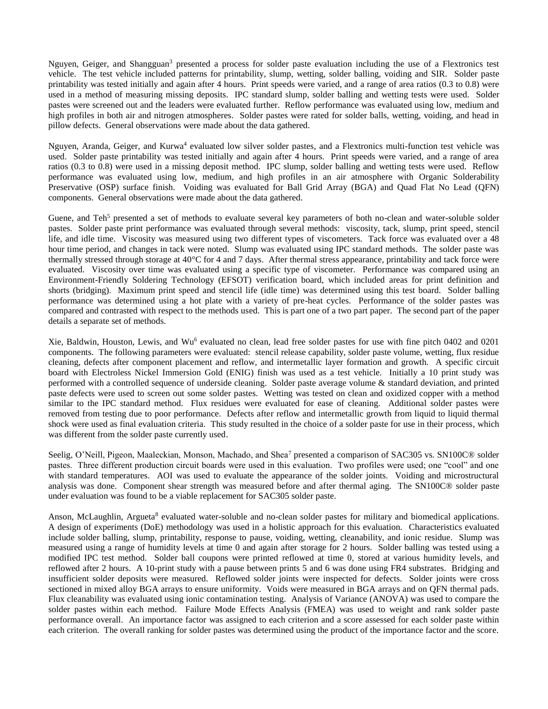Nguyen, Geiger, and Shangguan<sup>3</sup> presented a process for solder paste evaluation including the use of a Flextronics test vehicle. The test vehicle included patterns for printability, slump, wetting, solder balling, voiding and SIR. Solder paste printability was tested initially and again after 4 hours. Print speeds were varied, and a range of area ratios (0.3 to 0.8) were used in a method of measuring missing deposits. IPC standard slump, solder balling and wetting tests were used. Solder pastes were screened out and the leaders were evaluated further. Reflow performance was evaluated using low, medium and high profiles in both air and nitrogen atmospheres. Solder pastes were rated for solder balls, wetting, voiding, and head in pillow defects. General observations were made about the data gathered.

Nguyen, Aranda, Geiger, and Kurwa<sup>4</sup> evaluated low silver solder pastes, and a Flextronics multi-function test vehicle was used. Solder paste printability was tested initially and again after 4 hours. Print speeds were varied, and a range of area ratios (0.3 to 0.8) were used in a missing deposit method. IPC slump, solder balling and wetting tests were used. Reflow performance was evaluated using low, medium, and high profiles in an air atmosphere with Organic Solderability Preservative (OSP) surface finish. Voiding was evaluated for Ball Grid Array (BGA) and Quad Flat No Lead (QFN) components. General observations were made about the data gathered.

Guene, and Teh<sup>5</sup> presented a set of methods to evaluate several key parameters of both no-clean and water-soluble solder pastes. Solder paste print performance was evaluated through several methods: viscosity, tack, slump, print speed, stencil life, and idle time. Viscosity was measured using two different types of viscometers. Tack force was evaluated over a 48 hour time period, and changes in tack were noted. Slump was evaluated using IPC standard methods. The solder paste was thermally stressed through storage at 40°C for 4 and 7 days. After thermal stress appearance, printability and tack force were evaluated. Viscosity over time was evaluated using a specific type of viscometer. Performance was compared using an Environment-Friendly Soldering Technology (EFSOT) verification board, which included areas for print definition and shorts (bridging). Maximum print speed and stencil life (idle time) was determined using this test board. Solder balling performance was determined using a hot plate with a variety of pre-heat cycles. Performance of the solder pastes was compared and contrasted with respect to the methods used. This is part one of a two part paper. The second part of the paper details a separate set of methods.

Xie, Baldwin, Houston, Lewis, and Wu<sup>6</sup> evaluated no clean, lead free solder pastes for use with fine pitch 0402 and 0201 components. The following parameters were evaluated: stencil release capability, solder paste volume, wetting, flux residue cleaning, defects after component placement and reflow, and intermetallic layer formation and growth. A specific circuit board with Electroless Nickel Immersion Gold (ENIG) finish was used as a test vehicle. Initially a 10 print study was performed with a controlled sequence of underside cleaning. Solder paste average volume & standard deviation, and printed paste defects were used to screen out some solder pastes. Wetting was tested on clean and oxidized copper with a method similar to the IPC standard method. Flux residues were evaluated for ease of cleaning. Additional solder pastes were removed from testing due to poor performance. Defects after reflow and intermetallic growth from liquid to liquid thermal shock were used as final evaluation criteria. This study resulted in the choice of a solder paste for use in their process, which was different from the solder paste currently used.

Seelig, O'Neill, Pigeon, Maaleckian, Monson, Machado, and Shea<sup>7</sup> presented a comparison of SAC305 vs. SN100C® solder pastes. Three different production circuit boards were used in this evaluation. Two profiles were used; one "cool" and one with standard temperatures. AOI was used to evaluate the appearance of the solder joints. Voiding and microstructural analysis was done. Component shear strength was measured before and after thermal aging. The SN100C® solder paste under evaluation was found to be a viable replacement for SAC305 solder paste.

Anson, McLaughlin, Argueta<sup>8</sup> evaluated water-soluble and no-clean solder pastes for military and biomedical applications. A design of experiments (DoE) methodology was used in a holistic approach for this evaluation. Characteristics evaluated include solder balling, slump, printability, response to pause, voiding, wetting, cleanability, and ionic residue. Slump was measured using a range of humidity levels at time 0 and again after storage for 2 hours. Solder balling was tested using a modified IPC test method. Solder ball coupons were printed reflowed at time 0, stored at various humidity levels, and reflowed after 2 hours. A 10-print study with a pause between prints 5 and 6 was done using FR4 substrates. Bridging and insufficient solder deposits were measured. Reflowed solder joints were inspected for defects. Solder joints were cross sectioned in mixed alloy BGA arrays to ensure uniformity. Voids were measured in BGA arrays and on QFN thermal pads. Flux cleanability was evaluated using ionic contamination testing. Analysis of Variance (ANOVA) was used to compare the solder pastes within each method. Failure Mode Effects Analysis (FMEA) was used to weight and rank solder paste performance overall. An importance factor was assigned to each criterion and a score assessed for each solder paste within each criterion. The overall ranking for solder pastes was determined using the product of the importance factor and the score.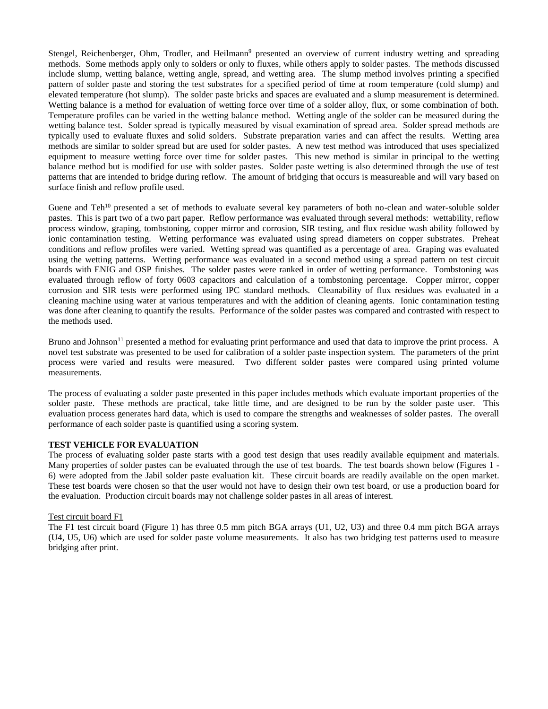Stengel, Reichenberger, Ohm, Trodler, and Heilmann<sup>9</sup> presented an overview of current industry wetting and spreading methods. Some methods apply only to solders or only to fluxes, while others apply to solder pastes. The methods discussed include slump, wetting balance, wetting angle, spread, and wetting area. The slump method involves printing a specified pattern of solder paste and storing the test substrates for a specified period of time at room temperature (cold slump) and elevated temperature (hot slump). The solder paste bricks and spaces are evaluated and a slump measurement is determined. Wetting balance is a method for evaluation of wetting force over time of a solder alloy, flux, or some combination of both. Temperature profiles can be varied in the wetting balance method. Wetting angle of the solder can be measured during the wetting balance test. Solder spread is typically measured by visual examination of spread area. Solder spread methods are typically used to evaluate fluxes and solid solders. Substrate preparation varies and can affect the results. Wetting area methods are similar to solder spread but are used for solder pastes. A new test method was introduced that uses specialized equipment to measure wetting force over time for solder pastes. This new method is similar in principal to the wetting balance method but is modified for use with solder pastes. Solder paste wetting is also determined through the use of test patterns that are intended to bridge during reflow. The amount of bridging that occurs is measureable and will vary based on surface finish and reflow profile used.

Guene and Teh<sup>10</sup> presented a set of methods to evaluate several key parameters of both no-clean and water-soluble solder pastes. This is part two of a two part paper. Reflow performance was evaluated through several methods: wettability, reflow process window, graping, tombstoning, copper mirror and corrosion, SIR testing, and flux residue wash ability followed by ionic contamination testing. Wetting performance was evaluated using spread diameters on copper substrates. Preheat conditions and reflow profiles were varied. Wetting spread was quantified as a percentage of area. Graping was evaluated using the wetting patterns. Wetting performance was evaluated in a second method using a spread pattern on test circuit boards with ENIG and OSP finishes. The solder pastes were ranked in order of wetting performance. Tombstoning was evaluated through reflow of forty 0603 capacitors and calculation of a tombstoning percentage. Copper mirror, copper corrosion and SIR tests were performed using IPC standard methods. Cleanability of flux residues was evaluated in a cleaning machine using water at various temperatures and with the addition of cleaning agents. Ionic contamination testing was done after cleaning to quantify the results. Performance of the solder pastes was compared and contrasted with respect to the methods used.

Bruno and Johnson<sup>11</sup> presented a method for evaluating print performance and used that data to improve the print process. A novel test substrate was presented to be used for calibration of a solder paste inspection system. The parameters of the print process were varied and results were measured. Two different solder pastes were compared using printed volume measurements.

The process of evaluating a solder paste presented in this paper includes methods which evaluate important properties of the solder paste. These methods are practical, take little time, and are designed to be run by the solder paste user. This evaluation process generates hard data, which is used to compare the strengths and weaknesses of solder pastes. The overall performance of each solder paste is quantified using a scoring system.

#### **TEST VEHICLE FOR EVALUATION**

The process of evaluating solder paste starts with a good test design that uses readily available equipment and materials. Many properties of solder pastes can be evaluated through the use of test boards. The test boards shown below (Figures 1 -6) were adopted from the Jabil solder paste evaluation kit. These circuit boards are readily available on the open market. These test boards were chosen so that the user would not have to design their own test board, or use a production board for the evaluation. Production circuit boards may not challenge solder pastes in all areas of interest.

#### Test circuit board F1

The F1 test circuit board (Figure 1) has three 0.5 mm pitch BGA arrays (U1, U2, U3) and three 0.4 mm pitch BGA arrays (U4, U5, U6) which are used for solder paste volume measurements. It also has two bridging test patterns used to measure bridging after print.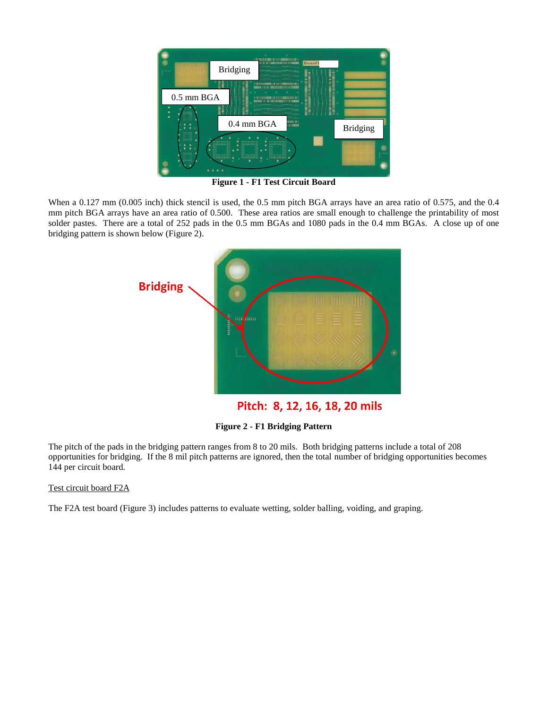

**Figure 1 - F1 Test Circuit Board**

When a 0.127 mm (0.005 inch) thick stencil is used, the 0.5 mm pitch BGA arrays have an area ratio of 0.575, and the 0.4 mm pitch BGA arrays have an area ratio of 0.500. These area ratios are small enough to challenge the printability of most solder pastes. There are a total of 252 pads in the 0.5 mm BGAs and 1080 pads in the 0.4 mm BGAs. A close up of one bridging pattern is shown below (Figure 2).



Pitch: 8, 12, 16, 18, 20 mils

**Figure 2 - F1 Bridging Pattern**

The pitch of the pads in the bridging pattern ranges from 8 to 20 mils. Both bridging patterns include a total of 208 opportunities for bridging. If the 8 mil pitch patterns are ignored, then the total number of bridging opportunities becomes 144 per circuit board.

## Test circuit board F2A

The F2A test board (Figure 3) includes patterns to evaluate wetting, solder balling, voiding, and graping.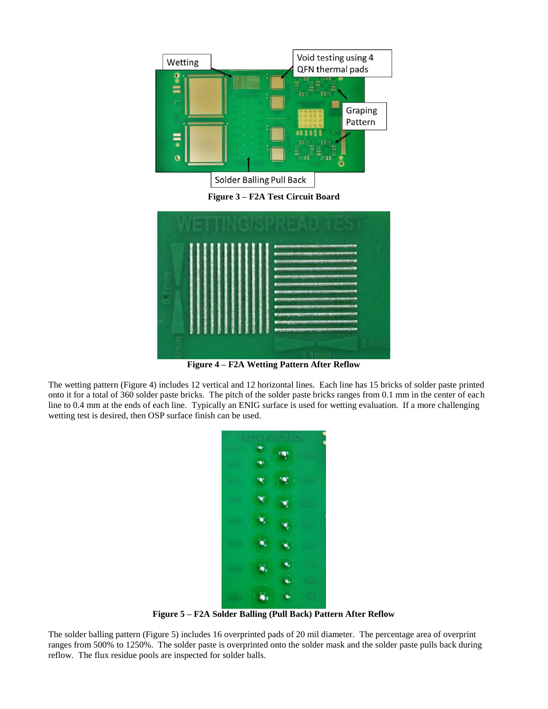

**Figure 3 – F2A Test Circuit Board**

|  |  | ,,,,,,,,,,,,,,,,,,,,,,,,,,,<br><b><i><u>SEE IN VAN DE LA SEE ONDER AS DE LA SEE ONDER AS DE LA SEE ONDER AS DE LA SEE ONDER AS DE LA SEE ONDER AS DE LA</u></i></b>                                                                                                                                                                                                    |  |
|--|--|------------------------------------------------------------------------------------------------------------------------------------------------------------------------------------------------------------------------------------------------------------------------------------------------------------------------------------------------------------------------|--|
|  |  | <b>And in the control of the control of the control of the control of the control of the control of the control of the control of the control of the control of the control of the control of the control of the control of the </b><br><b>The Contract of Contract Contract of Contract Only 200</b><br><b>The South Army Administration of the United States and</b> |  |
|  |  | <b>STATISTICS IN AN ARTICLE IN A STATISTICS</b><br><b>STATISTICS IN AN ARTICLE IN A STATISTICS.</b>                                                                                                                                                                                                                                                                    |  |
|  |  | <b>PERSONAL PROPERTY AND DESCRIPTION OF A REPORT OF A REPORT OF A REPORT OF A REPORT OF A REPORT OF A REPORT OF A</b><br><b>PERSONAL PROPERTY AND INCOME.</b><br><b>AND AN INCOME CONTRACTOR</b> IN AN INCOME CONTRACTOR                                                                                                                                               |  |
|  |  | <b>Printing to Britain States</b><br>--------<br>and the State model and State Management and Con-                                                                                                                                                                                                                                                                     |  |

**Figure 4 – F2A Wetting Pattern After Reflow**

The wetting pattern (Figure 4) includes 12 vertical and 12 horizontal lines. Each line has 15 bricks of solder paste printed onto it for a total of 360 solder paste bricks. The pitch of the solder paste bricks ranges from 0.1 mm in the center of each line to 0.4 mm at the ends of each line. Typically an ENIG surface is used for wetting evaluation. If a more challenging wetting test is desired, then OSP surface finish can be used.



**Figure 5 – F2A Solder Balling (Pull Back) Pattern After Reflow**

The solder balling pattern (Figure 5) includes 16 overprinted pads of 20 mil diameter. The percentage area of overprint ranges from 500% to 1250%. The solder paste is overprinted onto the solder mask and the solder paste pulls back during reflow. The flux residue pools are inspected for solder balls.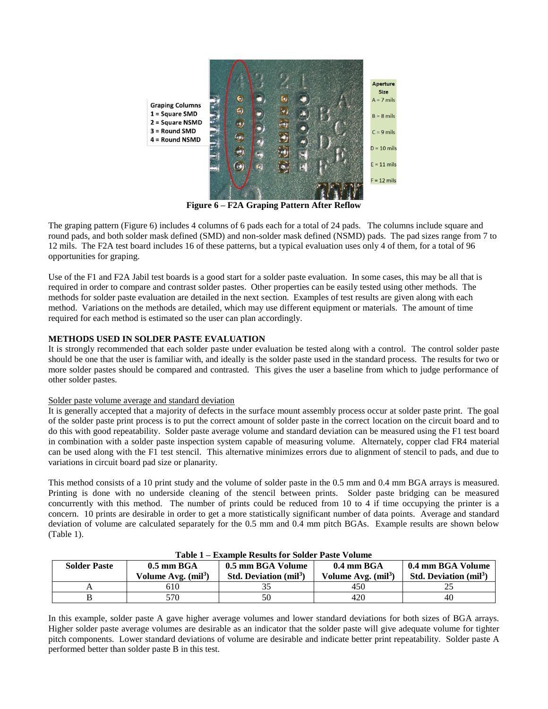

**Figure 6 – F2A Graping Pattern After Reflow**

The graping pattern (Figure 6) includes 4 columns of 6 pads each for a total of 24 pads. The columns include square and round pads, and both solder mask defined (SMD) and non-solder mask defined (NSMD) pads. The pad sizes range from 7 to 12 mils. The F2A test board includes 16 of these patterns, but a typical evaluation uses only 4 of them, for a total of 96 opportunities for graping.

Use of the F1 and F2A Jabil test boards is a good start for a solder paste evaluation. In some cases, this may be all that is required in order to compare and contrast solder pastes. Other properties can be easily tested using other methods. The methods for solder paste evaluation are detailed in the next section. Examples of test results are given along with each method. Variations on the methods are detailed, which may use different equipment or materials. The amount of time required for each method is estimated so the user can plan accordingly.

## **METHODS USED IN SOLDER PASTE EVALUATION**

It is strongly recommended that each solder paste under evaluation be tested along with a control. The control solder paste should be one that the user is familiar with, and ideally is the solder paste used in the standard process. The results for two or more solder pastes should be compared and contrasted. This gives the user a baseline from which to judge performance of other solder pastes.

## Solder paste volume average and standard deviation

It is generally accepted that a majority of defects in the surface mount assembly process occur at solder paste print. The goal of the solder paste print process is to put the correct amount of solder paste in the correct location on the circuit board and to do this with good repeatability. Solder paste average volume and standard deviation can be measured using the F1 test board in combination with a solder paste inspection system capable of measuring volume. Alternately, copper clad FR4 material can be used along with the F1 test stencil. This alternative minimizes errors due to alignment of stencil to pads, and due to variations in circuit board pad size or planarity.

This method consists of a 10 print study and the volume of solder paste in the 0.5 mm and 0.4 mm BGA arrays is measured. Printing is done with no underside cleaning of the stencil between prints. Solder paste bridging can be measured concurrently with this method. The number of prints could be reduced from 10 to 4 if time occupying the printer is a concern. 10 prints are desirable in order to get a more statistically significant number of data points. Average and standard deviation of volume are calculated separately for the 0.5 mm and 0.4 mm pitch BGAs. Example results are shown below (Table 1).

| $1$ able $1$ $-$ Laambie Results for bolder 1 aste $\tau$ ording |                      |                                         |                      |                                         |  |
|------------------------------------------------------------------|----------------------|-----------------------------------------|----------------------|-----------------------------------------|--|
| <b>Solder Paste</b>                                              | $0.5$ mm BGA         | 0.5 mm BGA Volume                       | $0.4$ mm BGA         | 0.4 mm BGA Volume                       |  |
|                                                                  | Volume Avg. $(mil3)$ | <b>Std. Deviation (mil<sup>3</sup>)</b> | Volume Avg. $(mil3)$ | <b>Std. Deviation (mil<sup>3</sup>)</b> |  |
|                                                                  | 610                  |                                         | 450                  | ∸-                                      |  |
|                                                                  | 570                  | 50                                      | 420                  | 40                                      |  |

#### **Table 1 – Example Results for Solder Paste Volume**

In this example, solder paste A gave higher average volumes and lower standard deviations for both sizes of BGA arrays. Higher solder paste average volumes are desirable as an indicator that the solder paste will give adequate volume for tighter pitch components. Lower standard deviations of volume are desirable and indicate better print repeatability. Solder paste A performed better than solder paste B in this test.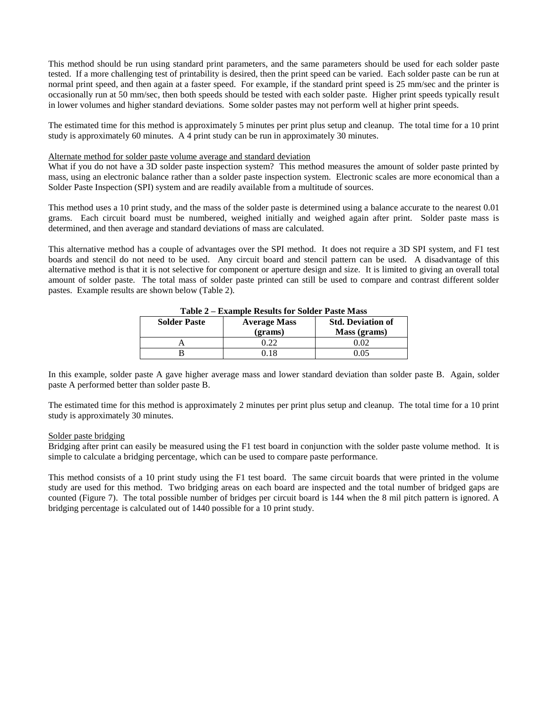This method should be run using standard print parameters, and the same parameters should be used for each solder paste tested. If a more challenging test of printability is desired, then the print speed can be varied. Each solder paste can be run at normal print speed, and then again at a faster speed. For example, if the standard print speed is 25 mm/sec and the printer is occasionally run at 50 mm/sec, then both speeds should be tested with each solder paste. Higher print speeds typically result in lower volumes and higher standard deviations. Some solder pastes may not perform well at higher print speeds.

The estimated time for this method is approximately 5 minutes per print plus setup and cleanup. The total time for a 10 print study is approximately 60 minutes. A 4 print study can be run in approximately 30 minutes.

### Alternate method for solder paste volume average and standard deviation

What if you do not have a 3D solder paste inspection system? This method measures the amount of solder paste printed by mass, using an electronic balance rather than a solder paste inspection system. Electronic scales are more economical than a Solder Paste Inspection (SPI) system and are readily available from a multitude of sources.

This method uses a 10 print study, and the mass of the solder paste is determined using a balance accurate to the nearest 0.01 grams. Each circuit board must be numbered, weighed initially and weighed again after print. Solder paste mass is determined, and then average and standard deviations of mass are calculated.

This alternative method has a couple of advantages over the SPI method. It does not require a 3D SPI system, and F1 test boards and stencil do not need to be used. Any circuit board and stencil pattern can be used. A disadvantage of this alternative method is that it is not selective for component or aperture design and size. It is limited to giving an overall total amount of solder paste. The total mass of solder paste printed can still be used to compare and contrast different solder pastes. Example results are shown below (Table 2).

| ***** <i>*</i><br>Launibic Results for Sorger Fusic Bruss |                                |                                          |  |  |  |
|-----------------------------------------------------------|--------------------------------|------------------------------------------|--|--|--|
| <b>Solder Paste</b>                                       | <b>Average Mass</b><br>(grams) | <b>Std. Deviation of</b><br>Mass (grams) |  |  |  |
|                                                           | ገ ንን                           | $^{\circ}$ 02.                           |  |  |  |
|                                                           | 18                             |                                          |  |  |  |
|                                                           |                                |                                          |  |  |  |

**Table 2 – Example Results for Solder Paste Mass**

In this example, solder paste A gave higher average mass and lower standard deviation than solder paste B. Again, solder paste A performed better than solder paste B.

The estimated time for this method is approximately 2 minutes per print plus setup and cleanup. The total time for a 10 print study is approximately 30 minutes.

#### Solder paste bridging

Bridging after print can easily be measured using the F1 test board in conjunction with the solder paste volume method. It is simple to calculate a bridging percentage, which can be used to compare paste performance.

This method consists of a 10 print study using the F1 test board. The same circuit boards that were printed in the volume study are used for this method. Two bridging areas on each board are inspected and the total number of bridged gaps are counted (Figure 7). The total possible number of bridges per circuit board is 144 when the 8 mil pitch pattern is ignored. A bridging percentage is calculated out of 1440 possible for a 10 print study.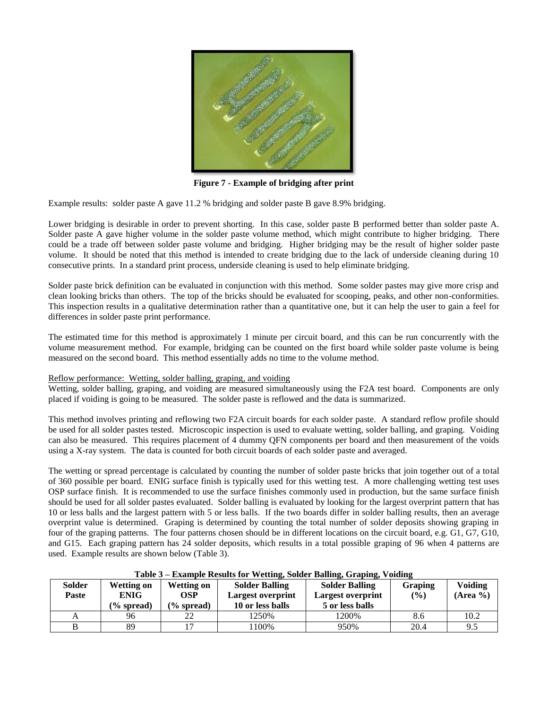

**Figure 7 - Example of bridging after print**

Example results: solder paste A gave 11.2 % bridging and solder paste B gave 8.9% bridging.

Lower bridging is desirable in order to prevent shorting. In this case, solder paste B performed better than solder paste A. Solder paste A gave higher volume in the solder paste volume method, which might contribute to higher bridging. There could be a trade off between solder paste volume and bridging. Higher bridging may be the result of higher solder paste volume. It should be noted that this method is intended to create bridging due to the lack of underside cleaning during 10 consecutive prints. In a standard print process, underside cleaning is used to help eliminate bridging.

Solder paste brick definition can be evaluated in conjunction with this method. Some solder pastes may give more crisp and clean looking bricks than others. The top of the bricks should be evaluated for scooping, peaks, and other non-conformities. This inspection results in a qualitative determination rather than a quantitative one, but it can help the user to gain a feel for differences in solder paste print performance.

The estimated time for this method is approximately 1 minute per circuit board, and this can be run concurrently with the volume measurement method. For example, bridging can be counted on the first board while solder paste volume is being measured on the second board. This method essentially adds no time to the volume method.

#### Reflow performance: Wetting, solder balling, graping, and voiding

Wetting, solder balling, graping, and voiding are measured simultaneously using the F2A test board. Components are only placed if voiding is going to be measured. The solder paste is reflowed and the data is summarized.

This method involves printing and reflowing two F2A circuit boards for each solder paste. A standard reflow profile should be used for all solder pastes tested. Microscopic inspection is used to evaluate wetting, solder balling, and graping. Voiding can also be measured. This requires placement of 4 dummy QFN components per board and then measurement of the voids using a X-ray system. The data is counted for both circuit boards of each solder paste and averaged.

The wetting or spread percentage is calculated by counting the number of solder paste bricks that join together out of a total of 360 possible per board. ENIG surface finish is typically used for this wetting test. A more challenging wetting test uses OSP surface finish. It is recommended to use the surface finishes commonly used in production, but the same surface finish should be used for all solder pastes evaluated. Solder balling is evaluated by looking for the largest overprint pattern that has 10 or less balls and the largest pattern with 5 or less balls. If the two boards differ in solder balling results, then an average overprint value is determined. Graping is determined by counting the total number of solder deposits showing graping in four of the graping patterns. The four patterns chosen should be in different locations on the circuit board, e.g. G1, G7, G10, and G15. Each graping pattern has 24 solder deposits, which results in a total possible graping of 96 when 4 patterns are used. Example results are shown below (Table 3).

| Table 5 – Example Results for Wetting, Solder Bannig, Graphig, Volding |                       |               |                       |                       |                |                |
|------------------------------------------------------------------------|-----------------------|---------------|-----------------------|-----------------------|----------------|----------------|
| <b>Solder</b>                                                          | <b>Wetting on</b>     | Wetting on    | <b>Solder Balling</b> | <b>Solder Balling</b> | <b>Graping</b> | <b>Voiding</b> |
| Paste                                                                  | <b>ENIG</b>           | <b>OSP</b>    | Largest overprint     | Largest overprint     | (%)            | $(Area \%)$    |
|                                                                        | $\frac{6}{6}$ spread) | $(\%$ spread) | 10 or less balls      | 5 or less balls       |                |                |
|                                                                        | 96                    |               | '250%                 | 1200%                 | 8.6            | 10.2           |
|                                                                        | 89                    |               | 100%                  | 950%                  | 20.4           | 9.5            |

#### **Table 3 – Example Results for Wetting, Solder Balling, Graping, Voiding**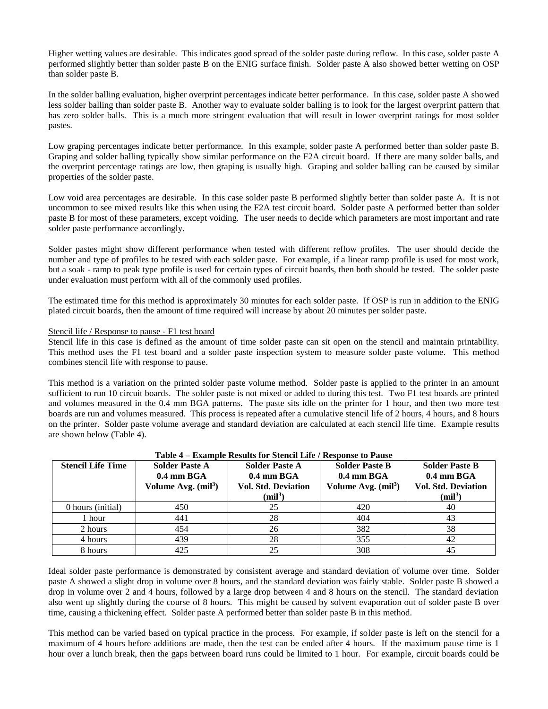Higher wetting values are desirable. This indicates good spread of the solder paste during reflow. In this case, solder paste A performed slightly better than solder paste B on the ENIG surface finish. Solder paste A also showed better wetting on OSP than solder paste B.

In the solder balling evaluation, higher overprint percentages indicate better performance. In this case, solder paste A showed less solder balling than solder paste B. Another way to evaluate solder balling is to look for the largest overprint pattern that has zero solder balls. This is a much more stringent evaluation that will result in lower overprint ratings for most solder pastes.

Low graping percentages indicate better performance. In this example, solder paste A performed better than solder paste B. Graping and solder balling typically show similar performance on the F2A circuit board. If there are many solder balls, and the overprint percentage ratings are low, then graping is usually high. Graping and solder balling can be caused by similar properties of the solder paste.

Low void area percentages are desirable. In this case solder paste B performed slightly better than solder paste A. It is not uncommon to see mixed results like this when using the F2A test circuit board. Solder paste A performed better than solder paste B for most of these parameters, except voiding. The user needs to decide which parameters are most important and rate solder paste performance accordingly.

Solder pastes might show different performance when tested with different reflow profiles. The user should decide the number and type of profiles to be tested with each solder paste. For example, if a linear ramp profile is used for most work, but a soak - ramp to peak type profile is used for certain types of circuit boards, then both should be tested. The solder paste under evaluation must perform with all of the commonly used profiles.

The estimated time for this method is approximately 30 minutes for each solder paste. If OSP is run in addition to the ENIG plated circuit boards, then the amount of time required will increase by about 20 minutes per solder paste.

#### Stencil life / Response to pause - F1 test board

Stencil life in this case is defined as the amount of time solder paste can sit open on the stencil and maintain printability. This method uses the F1 test board and a solder paste inspection system to measure solder paste volume. This method combines stencil life with response to pause.

This method is a variation on the printed solder paste volume method. Solder paste is applied to the printer in an amount sufficient to run 10 circuit boards. The solder paste is not mixed or added to during this test. Two F1 test boards are printed and volumes measured in the 0.4 mm BGA patterns. The paste sits idle on the printer for 1 hour, and then two more test boards are run and volumes measured. This process is repeated after a cumulative stencil life of 2 hours, 4 hours, and 8 hours on the printer. Solder paste volume average and standard deviation are calculated at each stencil life time. Example results are shown below (Table 4).

| $1$ able $4$ – Example Results for Stellen Life / Response to Fause |                       |                            |                       |                            |  |  |
|---------------------------------------------------------------------|-----------------------|----------------------------|-----------------------|----------------------------|--|--|
| <b>Stencil Life Time</b>                                            | <b>Solder Paste A</b> | <b>Solder Paste A</b>      | <b>Solder Paste B</b> | <b>Solder Paste B</b>      |  |  |
|                                                                     | $0.4$ mm BGA          | $0.4$ mm BGA               | $0.4$ mm BGA          | $0.4$ mm BGA               |  |  |
|                                                                     | Volume Avg. $(mil3)$  | <b>Vol. Std. Deviation</b> | Volume Avg. $(mil3)$  | <b>Vol. Std. Deviation</b> |  |  |
|                                                                     |                       | (mil <sup>3</sup> )        |                       | (mil <sup>3</sup> )        |  |  |
| 0 hours (initial)                                                   | 450                   | 25                         | 420                   | 40                         |  |  |
| l hour                                                              | 441                   | 28                         | 404                   | 43                         |  |  |
| 2 hours                                                             | 454                   | 26                         | 382                   | 38                         |  |  |
| 4 hours                                                             | 439                   | 28                         | 355                   | 42                         |  |  |
| 8 hours                                                             | 425                   | 25                         | 308                   |                            |  |  |

## **Table 4 – Example Results for Stencil Life / Response to Pause**

Ideal solder paste performance is demonstrated by consistent average and standard deviation of volume over time. Solder paste A showed a slight drop in volume over 8 hours, and the standard deviation was fairly stable. Solder paste B showed a drop in volume over 2 and 4 hours, followed by a large drop between 4 and 8 hours on the stencil. The standard deviation also went up slightly during the course of 8 hours. This might be caused by solvent evaporation out of solder paste B over time, causing a thickening effect. Solder paste A performed better than solder paste B in this method.

This method can be varied based on typical practice in the process. For example, if solder paste is left on the stencil for a maximum of 4 hours before additions are made, then the test can be ended after 4 hours. If the maximum pause time is 1 hour over a lunch break, then the gaps between board runs could be limited to 1 hour. For example, circuit boards could be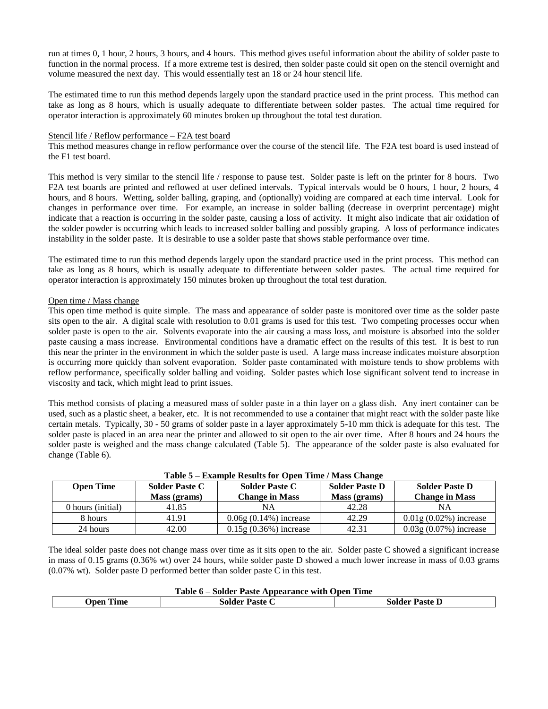run at times 0, 1 hour, 2 hours, 3 hours, and 4 hours. This method gives useful information about the ability of solder paste to function in the normal process. If a more extreme test is desired, then solder paste could sit open on the stencil overnight and volume measured the next day. This would essentially test an 18 or 24 hour stencil life.

The estimated time to run this method depends largely upon the standard practice used in the print process. This method can take as long as 8 hours, which is usually adequate to differentiate between solder pastes. The actual time required for operator interaction is approximately 60 minutes broken up throughout the total test duration.

### Stencil life / Reflow performance – F2A test board

This method measures change in reflow performance over the course of the stencil life. The F2A test board is used instead of the F1 test board.

This method is very similar to the stencil life / response to pause test. Solder paste is left on the printer for 8 hours. Two F2A test boards are printed and reflowed at user defined intervals. Typical intervals would be 0 hours, 1 hour, 2 hours, 4 hours, and 8 hours. Wetting, solder balling, graping, and (optionally) voiding are compared at each time interval. Look for changes in performance over time. For example, an increase in solder balling (decrease in overprint percentage) might indicate that a reaction is occurring in the solder paste, causing a loss of activity. It might also indicate that air oxidation of the solder powder is occurring which leads to increased solder balling and possibly graping. A loss of performance indicates instability in the solder paste. It is desirable to use a solder paste that shows stable performance over time.

The estimated time to run this method depends largely upon the standard practice used in the print process. This method can take as long as 8 hours, which is usually adequate to differentiate between solder pastes. The actual time required for operator interaction is approximately 150 minutes broken up throughout the total test duration.

## Open time / Mass change

This open time method is quite simple. The mass and appearance of solder paste is monitored over time as the solder paste sits open to the air. A digital scale with resolution to 0.01 grams is used for this test. Two competing processes occur when solder paste is open to the air. Solvents evaporate into the air causing a mass loss, and moisture is absorbed into the solder paste causing a mass increase. Environmental conditions have a dramatic effect on the results of this test. It is best to run this near the printer in the environment in which the solder paste is used. A large mass increase indicates moisture absorption is occurring more quickly than solvent evaporation. Solder paste contaminated with moisture tends to show problems with reflow performance, specifically solder balling and voiding. Solder pastes which lose significant solvent tend to increase in viscosity and tack, which might lead to print issues.

This method consists of placing a measured mass of solder paste in a thin layer on a glass dish. Any inert container can be used, such as a plastic sheet, a beaker, etc. It is not recommended to use a container that might react with the solder paste like certain metals. Typically, 30 - 50 grams of solder paste in a layer approximately 5-10 mm thick is adequate for this test. The solder paste is placed in an area near the printer and allowed to sit open to the air over time. After 8 hours and 24 hours the solder paste is weighed and the mass change calculated (Table 5). The appearance of the solder paste is also evaluated for change (Table 6).

| <b>Open Time</b>  | <b>Solder Paste C</b><br>Mass (grams) | <b>Solder Paste C</b><br><b>Change in Mass</b> | <b>Solder Paste D</b><br>Mass (grams) | <b>Solder Paste D</b><br><b>Change in Mass</b> |
|-------------------|---------------------------------------|------------------------------------------------|---------------------------------------|------------------------------------------------|
| 0 hours (initial) | 41.85                                 | NA                                             | 42.28                                 | <b>NA</b>                                      |
| 8 hours           | 41.91                                 | $0.06g(0.14%)$ increase                        | 42.29                                 | $0.01$ g $(0.02\%)$ increase                   |
| 24 hours          | 42.00                                 | $0.15g(0.36%)$ increase                        | 42.31                                 | $0.03g(0.07%)$ increase                        |

**Table 5 – Example Results for Open Time / Mass Change**

The ideal solder paste does not change mass over time as it sits open to the air. Solder paste C showed a significant increase in mass of 0.15 grams (0.36% wt) over 24 hours, while solder paste D showed a much lower increase in mass of 0.03 grams (0.07% wt). Solder paste D performed better than solder paste C in this test.

| Table 6 – Solder Paste Appearance with Open Time                   |  |  |  |  |
|--------------------------------------------------------------------|--|--|--|--|
| <b>Open Time</b><br><b>Solder Paste D</b><br><b>Solder Paste C</b> |  |  |  |  |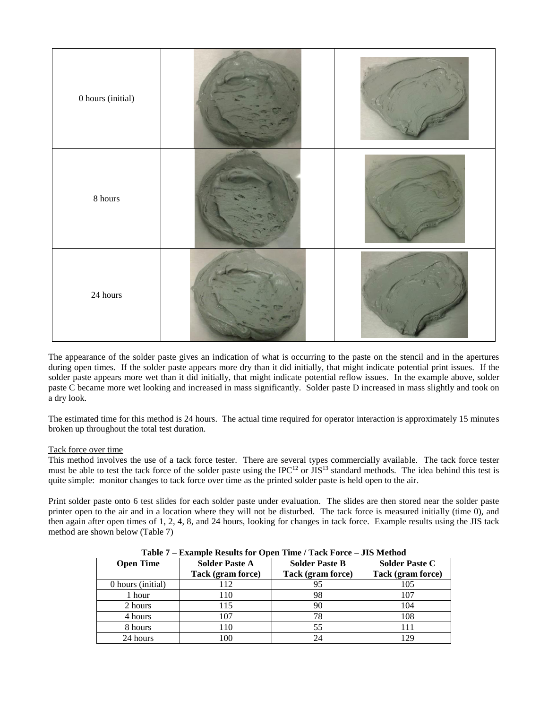

The appearance of the solder paste gives an indication of what is occurring to the paste on the stencil and in the apertures during open times. If the solder paste appears more dry than it did initially, that might indicate potential print issues. If the solder paste appears more wet than it did initially, that might indicate potential reflow issues. In the example above, solder paste C became more wet looking and increased in mass significantly. Solder paste D increased in mass slightly and took on a dry look.

The estimated time for this method is 24 hours. The actual time required for operator interaction is approximately 15 minutes broken up throughout the total test duration.

## Tack force over time

This method involves the use of a tack force tester. There are several types commercially available. The tack force tester must be able to test the tack force of the solder paste using the IPC<sup>12</sup> or JIS<sup>13</sup> standard methods. The idea behind this test is quite simple: monitor changes to tack force over time as the printed solder paste is held open to the air.

Print solder paste onto 6 test slides for each solder paste under evaluation. The slides are then stored near the solder paste printer open to the air and in a location where they will not be disturbed. The tack force is measured initially (time 0), and then again after open times of 1, 2, 4, 8, and 24 hours, looking for changes in tack force. Example results using the JIS tack method are shown below (Table 7)

| Table $t = 0.8$ example Results for Open Time $t_1$ ack Force $-$ J15 method |                       |                       |                       |  |  |
|------------------------------------------------------------------------------|-----------------------|-----------------------|-----------------------|--|--|
| <b>Open Time</b>                                                             | <b>Solder Paste A</b> | <b>Solder Paste B</b> | <b>Solder Paste C</b> |  |  |
|                                                                              | Tack (gram force)     | Tack (gram force)     | Tack (gram force)     |  |  |
| 0 hours (initial)                                                            | 112                   | 95                    | 105                   |  |  |
| 1 hour                                                                       | 110                   | 98                    | 107                   |  |  |
| 2 hours                                                                      | 115                   | 90                    | 104                   |  |  |
| 4 hours                                                                      | 107                   | 78                    | 108                   |  |  |
| 8 hours                                                                      | 110                   | 55                    | 111                   |  |  |
| 24 hours                                                                     | 100                   | 24                    | 129                   |  |  |

**Table 7 – Example Results for Open Time / Tack Force – JIS Method**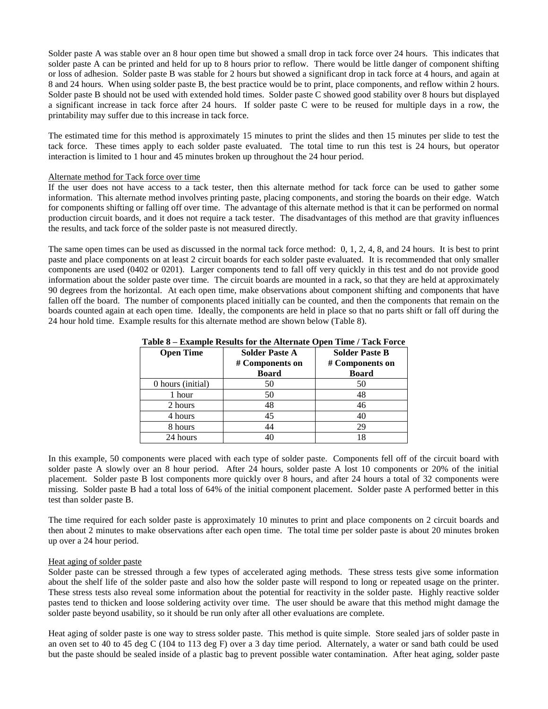Solder paste A was stable over an 8 hour open time but showed a small drop in tack force over 24 hours. This indicates that solder paste A can be printed and held for up to 8 hours prior to reflow. There would be little danger of component shifting or loss of adhesion. Solder paste B was stable for 2 hours but showed a significant drop in tack force at 4 hours, and again at 8 and 24 hours. When using solder paste B, the best practice would be to print, place components, and reflow within 2 hours. Solder paste B should not be used with extended hold times. Solder paste C showed good stability over 8 hours but displayed a significant increase in tack force after 24 hours. If solder paste C were to be reused for multiple days in a row, the printability may suffer due to this increase in tack force.

The estimated time for this method is approximately 15 minutes to print the slides and then 15 minutes per slide to test the tack force. These times apply to each solder paste evaluated. The total time to run this test is 24 hours, but operator interaction is limited to 1 hour and 45 minutes broken up throughout the 24 hour period.

#### Alternate method for Tack force over time

If the user does not have access to a tack tester, then this alternate method for tack force can be used to gather some information. This alternate method involves printing paste, placing components, and storing the boards on their edge. Watch for components shifting or falling off over time. The advantage of this alternate method is that it can be performed on normal production circuit boards, and it does not require a tack tester. The disadvantages of this method are that gravity influences the results, and tack force of the solder paste is not measured directly.

The same open times can be used as discussed in the normal tack force method: 0, 1, 2, 4, 8, and 24 hours. It is best to print paste and place components on at least 2 circuit boards for each solder paste evaluated. It is recommended that only smaller components are used (0402 or 0201). Larger components tend to fall off very quickly in this test and do not provide good information about the solder paste over time. The circuit boards are mounted in a rack, so that they are held at approximately 90 degrees from the horizontal. At each open time, make observations about component shifting and components that have fallen off the board. The number of components placed initially can be counted, and then the components that remain on the boards counted again at each open time. Ideally, the components are held in place so that no parts shift or fall off during the 24 hour hold time. Example results for this alternate method are shown below (Table 8).

| <b>Open Time</b>  | <b>Solder Paste A</b><br># Components on<br><b>Board</b> | <b>Solder Paste B</b><br># Components on<br><b>Board</b> |
|-------------------|----------------------------------------------------------|----------------------------------------------------------|
| 0 hours (initial) | 50                                                       | 50                                                       |
| 1 hour            | 50                                                       | 48                                                       |
| 2 hours           | 48                                                       | 46                                                       |
| 4 hours           | 45                                                       | 40                                                       |
| 8 hours           | 44                                                       | 29                                                       |
| 24 hours          | 40                                                       | 18                                                       |

#### **Table 8 – Example Results for the Alternate Open Time / Tack Force**

In this example, 50 components were placed with each type of solder paste. Components fell off of the circuit board with solder paste A slowly over an 8 hour period. After 24 hours, solder paste A lost 10 components or 20% of the initial placement. Solder paste B lost components more quickly over 8 hours, and after 24 hours a total of 32 components were missing. Solder paste B had a total loss of 64% of the initial component placement. Solder paste A performed better in this test than solder paste B.

The time required for each solder paste is approximately 10 minutes to print and place components on 2 circuit boards and then about 2 minutes to make observations after each open time. The total time per solder paste is about 20 minutes broken up over a 24 hour period.

#### Heat aging of solder paste

Solder paste can be stressed through a few types of accelerated aging methods. These stress tests give some information about the shelf life of the solder paste and also how the solder paste will respond to long or repeated usage on the printer. These stress tests also reveal some information about the potential for reactivity in the solder paste. Highly reactive solder pastes tend to thicken and loose soldering activity over time. The user should be aware that this method might damage the solder paste beyond usability, so it should be run only after all other evaluations are complete.

Heat aging of solder paste is one way to stress solder paste. This method is quite simple. Store sealed jars of solder paste in an oven set to 40 to 45 deg C (104 to 113 deg F) over a 3 day time period. Alternately, a water or sand bath could be used but the paste should be sealed inside of a plastic bag to prevent possible water contamination. After heat aging, solder paste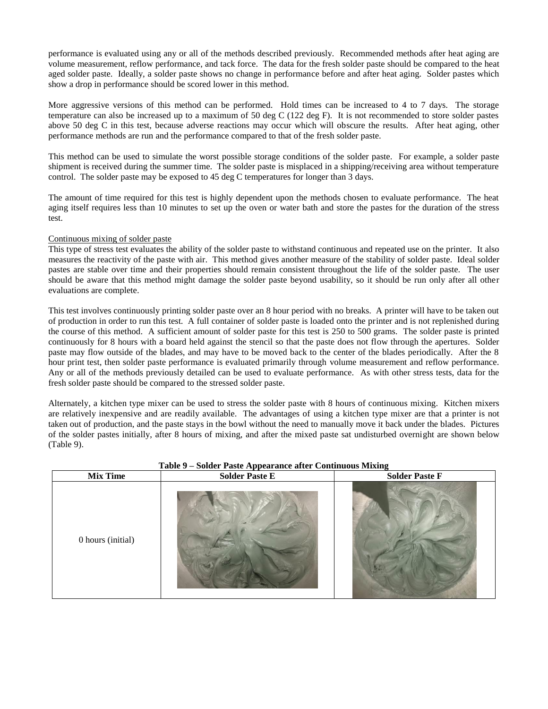performance is evaluated using any or all of the methods described previously. Recommended methods after heat aging are volume measurement, reflow performance, and tack force. The data for the fresh solder paste should be compared to the heat aged solder paste. Ideally, a solder paste shows no change in performance before and after heat aging. Solder pastes which show a drop in performance should be scored lower in this method.

More aggressive versions of this method can be performed. Hold times can be increased to 4 to 7 days. The storage temperature can also be increased up to a maximum of 50 deg C (122 deg F). It is not recommended to store solder pastes above 50 deg C in this test, because adverse reactions may occur which will obscure the results. After heat aging, other performance methods are run and the performance compared to that of the fresh solder paste.

This method can be used to simulate the worst possible storage conditions of the solder paste. For example, a solder paste shipment is received during the summer time. The solder paste is misplaced in a shipping/receiving area without temperature control. The solder paste may be exposed to 45 deg C temperatures for longer than 3 days.

The amount of time required for this test is highly dependent upon the methods chosen to evaluate performance. The heat aging itself requires less than 10 minutes to set up the oven or water bath and store the pastes for the duration of the stress test.

## Continuous mixing of solder paste

This type of stress test evaluates the ability of the solder paste to withstand continuous and repeated use on the printer. It also measures the reactivity of the paste with air. This method gives another measure of the stability of solder paste. Ideal solder pastes are stable over time and their properties should remain consistent throughout the life of the solder paste. The user should be aware that this method might damage the solder paste beyond usability, so it should be run only after all other evaluations are complete.

This test involves continuously printing solder paste over an 8 hour period with no breaks. A printer will have to be taken out of production in order to run this test. A full container of solder paste is loaded onto the printer and is not replenished during the course of this method. A sufficient amount of solder paste for this test is 250 to 500 grams. The solder paste is printed continuously for 8 hours with a board held against the stencil so that the paste does not flow through the apertures. Solder paste may flow outside of the blades, and may have to be moved back to the center of the blades periodically. After the 8 hour print test, then solder paste performance is evaluated primarily through volume measurement and reflow performance. Any or all of the methods previously detailed can be used to evaluate performance. As with other stress tests, data for the fresh solder paste should be compared to the stressed solder paste.

Alternately, a kitchen type mixer can be used to stress the solder paste with 8 hours of continuous mixing. Kitchen mixers are relatively inexpensive and are readily available. The advantages of using a kitchen type mixer are that a printer is not taken out of production, and the paste stays in the bowl without the need to manually move it back under the blades. Pictures of the solder pastes initially, after 8 hours of mixing, and after the mixed paste sat undisturbed overnight are shown below (Table 9).

| <b>Mix Time</b>   | <b>Solder Paste E</b> | <b>Solder Paste F</b> |
|-------------------|-----------------------|-----------------------|
| 0 hours (initial) |                       |                       |

## **Table 9 – Solder Paste Appearance after Continuous Mixing**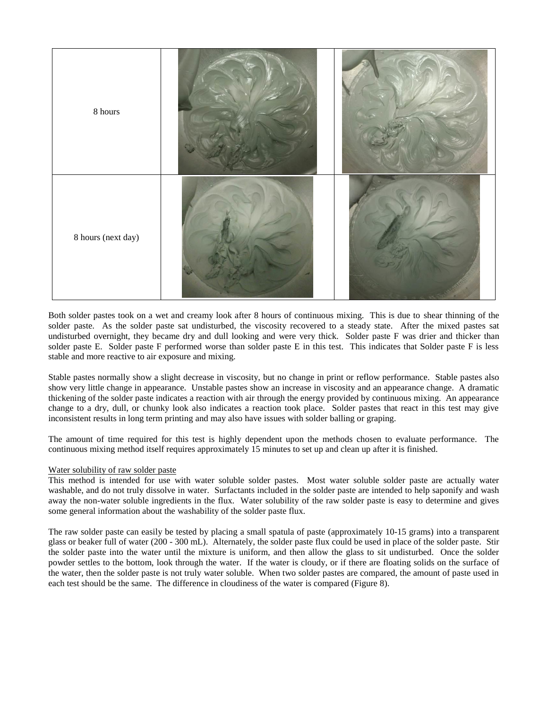

Both solder pastes took on a wet and creamy look after 8 hours of continuous mixing. This is due to shear thinning of the solder paste. As the solder paste sat undisturbed, the viscosity recovered to a steady state. After the mixed pastes sat undisturbed overnight, they became dry and dull looking and were very thick. Solder paste F was drier and thicker than solder paste E. Solder paste F performed worse than solder paste E in this test. This indicates that Solder paste F is less stable and more reactive to air exposure and mixing.

Stable pastes normally show a slight decrease in viscosity, but no change in print or reflow performance. Stable pastes also show very little change in appearance. Unstable pastes show an increase in viscosity and an appearance change. A dramatic thickening of the solder paste indicates a reaction with air through the energy provided by continuous mixing. An appearance change to a dry, dull, or chunky look also indicates a reaction took place. Solder pastes that react in this test may give inconsistent results in long term printing and may also have issues with solder balling or graping.

The amount of time required for this test is highly dependent upon the methods chosen to evaluate performance. The continuous mixing method itself requires approximately 15 minutes to set up and clean up after it is finished.

## Water solubility of raw solder paste

This method is intended for use with water soluble solder pastes. Most water soluble solder paste are actually water washable, and do not truly dissolve in water. Surfactants included in the solder paste are intended to help saponify and wash away the non-water soluble ingredients in the flux. Water solubility of the raw solder paste is easy to determine and gives some general information about the washability of the solder paste flux.

The raw solder paste can easily be tested by placing a small spatula of paste (approximately 10-15 grams) into a transparent glass or beaker full of water (200 - 300 mL). Alternately, the solder paste flux could be used in place of the solder paste. Stir the solder paste into the water until the mixture is uniform, and then allow the glass to sit undisturbed. Once the solder powder settles to the bottom, look through the water. If the water is cloudy, or if there are floating solids on the surface of the water, then the solder paste is not truly water soluble. When two solder pastes are compared, the amount of paste used in each test should be the same. The difference in cloudiness of the water is compared (Figure 8).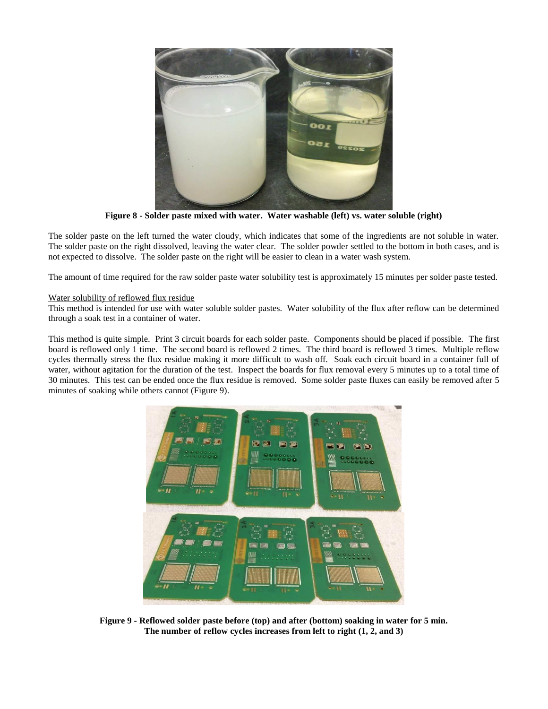

**Figure 8 - Solder paste mixed with water. Water washable (left) vs. water soluble (right)**

The solder paste on the left turned the water cloudy, which indicates that some of the ingredients are not soluble in water. The solder paste on the right dissolved, leaving the water clear. The solder powder settled to the bottom in both cases, and is not expected to dissolve. The solder paste on the right will be easier to clean in a water wash system.

The amount of time required for the raw solder paste water solubility test is approximately 15 minutes per solder paste tested.

## Water solubility of reflowed flux residue

This method is intended for use with water soluble solder pastes. Water solubility of the flux after reflow can be determined through a soak test in a container of water.

This method is quite simple. Print 3 circuit boards for each solder paste. Components should be placed if possible. The first board is reflowed only 1 time. The second board is reflowed 2 times. The third board is reflowed 3 times. Multiple reflow cycles thermally stress the flux residue making it more difficult to wash off. Soak each circuit board in a container full of water, without agitation for the duration of the test. Inspect the boards for flux removal every 5 minutes up to a total time of 30 minutes. This test can be ended once the flux residue is removed. Some solder paste fluxes can easily be removed after 5 minutes of soaking while others cannot (Figure 9).



**Figure 9 - Reflowed solder paste before (top) and after (bottom) soaking in water for 5 min. The number of reflow cycles increases from left to right (1, 2, and 3)**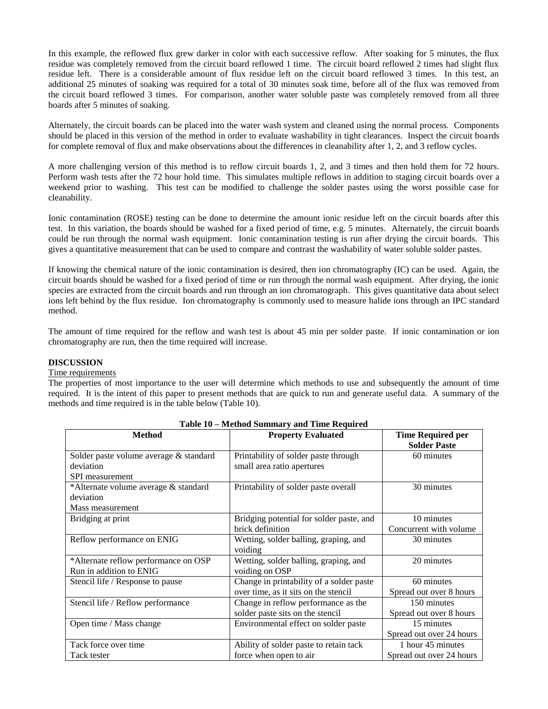In this example, the reflowed flux grew darker in color with each successive reflow. After soaking for 5 minutes, the flux residue was completely removed from the circuit board reflowed 1 time. The circuit board reflowed 2 times had slight flux residue left. There is a considerable amount of flux residue left on the circuit board reflowed 3 times. In this test, an additional 25 minutes of soaking was required for a total of 30 minutes soak time, before all of the flux was removed from the circuit board reflowed 3 times. For comparison, another water soluble paste was completely removed from all three boards after 5 minutes of soaking.

Alternately, the circuit boards can be placed into the water wash system and cleaned using the normal process. Components should be placed in this version of the method in order to evaluate washability in tight clearances. Inspect the circuit boards for complete removal of flux and make observations about the differences in cleanability after 1, 2, and 3 reflow cycles.

A more challenging version of this method is to reflow circuit boards 1, 2, and 3 times and then hold them for 72 hours. Perform wash tests after the 72 hour hold time. This simulates multiple reflows in addition to staging circuit boards over a weekend prior to washing. This test can be modified to challenge the solder pastes using the worst possible case for cleanability.

Ionic contamination (ROSE) testing can be done to determine the amount ionic residue left on the circuit boards after this test. In this variation, the boards should be washed for a fixed period of time, e.g. 5 minutes. Alternately, the circuit boards could be run through the normal wash equipment. Ionic contamination testing is run after drying the circuit boards. This gives a quantitative measurement that can be used to compare and contrast the washability of water soluble solder pastes.

If knowing the chemical nature of the ionic contamination is desired, then ion chromatography (IC) can be used. Again, the circuit boards should be washed for a fixed period of time or run through the normal wash equipment. After drying, the ionic species are extracted from the circuit boards and run through an ion chromatograph. This gives quantitative data about select ions left behind by the flux residue. Ion chromatography is commonly used to measure halide ions through an IPC standard method.

The amount of time required for the reflow and wash test is about 45 min per solder paste. If ionic contamination or ion chromatography are run, then the time required will increase.

#### **DISCUSSION**

#### Time requirements

The properties of most importance to the user will determine which methods to use and subsequently the amount of time required. It is the intent of this paper to present methods that are quick to run and generate useful data. A summary of the methods and time required is in the table below (Table 10).

|                                        | neculou building , and third nequited    |                          |
|----------------------------------------|------------------------------------------|--------------------------|
| <b>Method</b>                          | <b>Property Evaluated</b>                | <b>Time Required per</b> |
|                                        |                                          | <b>Solder Paste</b>      |
| Solder paste volume average & standard | Printability of solder paste through     | 60 minutes               |
| deviation                              | small area ratio apertures               |                          |
| SPI measurement                        |                                          |                          |
| *Alternate volume average & standard   | Printability of solder paste overall     | 30 minutes               |
| deviation                              |                                          |                          |
| Mass measurement                       |                                          |                          |
| Bridging at print                      | Bridging potential for solder paste, and | 10 minutes               |
|                                        | brick definition                         | Concurrent with volume   |
| Reflow performance on ENIG             | Wetting, solder balling, graping, and    | 30 minutes               |
|                                        | voiding                                  |                          |
| *Alternate reflow performance on OSP   | Wetting, solder balling, graping, and    | 20 minutes               |
| Run in addition to ENIG                | voiding on OSP                           |                          |
| Stencil life / Response to pause       | Change in printability of a solder paste | 60 minutes               |
|                                        | over time, as it sits on the stencil     | Spread out over 8 hours  |
| Stencil life / Reflow performance      | Change in reflow performance as the      | 150 minutes              |
|                                        | solder paste sits on the stencil         | Spread out over 8 hours  |
| Open time / Mass change                | Environmental effect on solder paste     | 15 minutes               |
|                                        |                                          | Spread out over 24 hours |
| Tack force over time                   | Ability of solder paste to retain tack   | 1 hour 45 minutes        |
| Tack tester                            | force when open to air                   | Spread out over 24 hours |

#### **Table 10 – Method Summary and Time Required**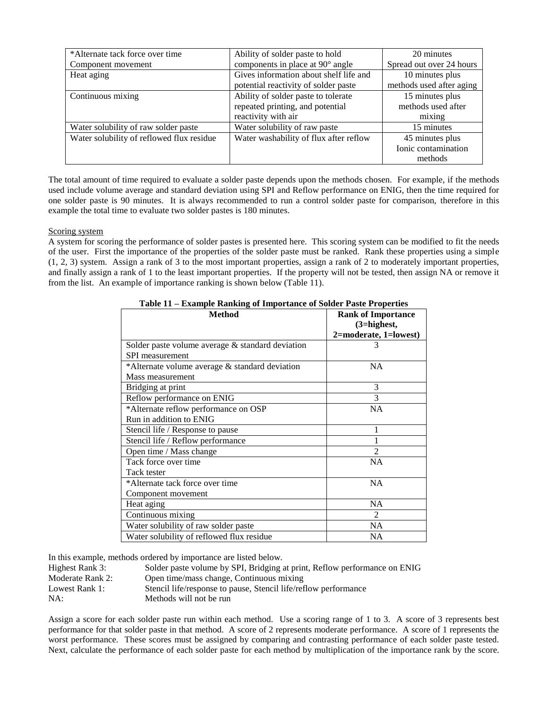| *Alternate tack force over time           | Ability of solder paste to hold        | 20 minutes               |
|-------------------------------------------|----------------------------------------|--------------------------|
| Component movement                        | components in place at 90° angle       | Spread out over 24 hours |
| Heat aging                                | Gives information about shelf life and | 10 minutes plus          |
|                                           | potential reactivity of solder paste   | methods used after aging |
| Continuous mixing                         | Ability of solder paste to tolerate    | 15 minutes plus          |
|                                           | repeated printing, and potential       | methods used after       |
|                                           | reactivity with air                    | mixing                   |
| Water solubility of raw solder paste      | Water solubility of raw paste          | 15 minutes               |
| Water solubility of reflowed flux residue | Water washability of flux after reflow | 45 minutes plus          |
|                                           |                                        | Ionic contamination      |
|                                           |                                        | methods                  |

The total amount of time required to evaluate a solder paste depends upon the methods chosen. For example, if the methods used include volume average and standard deviation using SPI and Reflow performance on ENIG, then the time required for one solder paste is 90 minutes. It is always recommended to run a control solder paste for comparison, therefore in this example the total time to evaluate two solder pastes is 180 minutes.

## Scoring system

A system for scoring the performance of solder pastes is presented here. This scoring system can be modified to fit the needs of the user. First the importance of the properties of the solder paste must be ranked. Rank these properties using a simple (1, 2, 3) system. Assign a rank of 3 to the most important properties, assign a rank of 2 to moderately important properties, and finally assign a rank of 1 to the least important properties. If the property will not be tested, then assign NA or remove it from the list. An example of importance ranking is shown below (Table 11).

| <b>Method</b>                                       | <b>Rank of Importance</b> |  |
|-----------------------------------------------------|---------------------------|--|
|                                                     | (3=highest,               |  |
|                                                     | 2=moderate, 1=lowest)     |  |
| Solder paste volume average $\&$ standard deviation | 3                         |  |
| <b>SPI</b> measurement                              |                           |  |
| *Alternate volume average & standard deviation      | NA.                       |  |
| Mass measurement                                    |                           |  |
| Bridging at print                                   | 3                         |  |
| Reflow performance on ENIG                          | 3                         |  |
| *Alternate reflow performance on OSP                | <b>NA</b>                 |  |
| Run in addition to ENIG                             |                           |  |
| Stencil life / Response to pause                    |                           |  |
| Stencil life / Reflow performance                   |                           |  |
| Open time / Mass change                             | $\mathfrak{D}$            |  |
| Tack force over time                                | <b>NA</b>                 |  |
| Tack tester                                         |                           |  |
| *Alternate tack force over time                     | NA                        |  |
| Component movement                                  |                           |  |
| Heat aging                                          | <b>NA</b>                 |  |
| Continuous mixing                                   | $\mathfrak{D}$            |  |
| Water solubility of raw solder paste                | <b>NA</b>                 |  |
| Water solubility of reflowed flux residue           | NA.                       |  |

**Table 11 – Example Ranking of Importance of Solder Paste Properties**

In this example, methods ordered by importance are listed below.

| Highest Rank 3:  | Solder paste volume by SPI, Bridging at print, Reflow performance on ENIG |
|------------------|---------------------------------------------------------------------------|
| Moderate Rank 2: | Open time/mass change, Continuous mixing                                  |
| Lowest Rank 1:   | Stencil life/response to pause, Stencil life/reflow performance           |
| NA:              | Methods will not be run                                                   |
|                  |                                                                           |

Assign a score for each solder paste run within each method. Use a scoring range of 1 to 3. A score of 3 represents best performance for that solder paste in that method. A score of 2 represents moderate performance. A score of 1 represents the worst performance. These scores must be assigned by comparing and contrasting performance of each solder paste tested. Next, calculate the performance of each solder paste for each method by multiplication of the importance rank by the score.